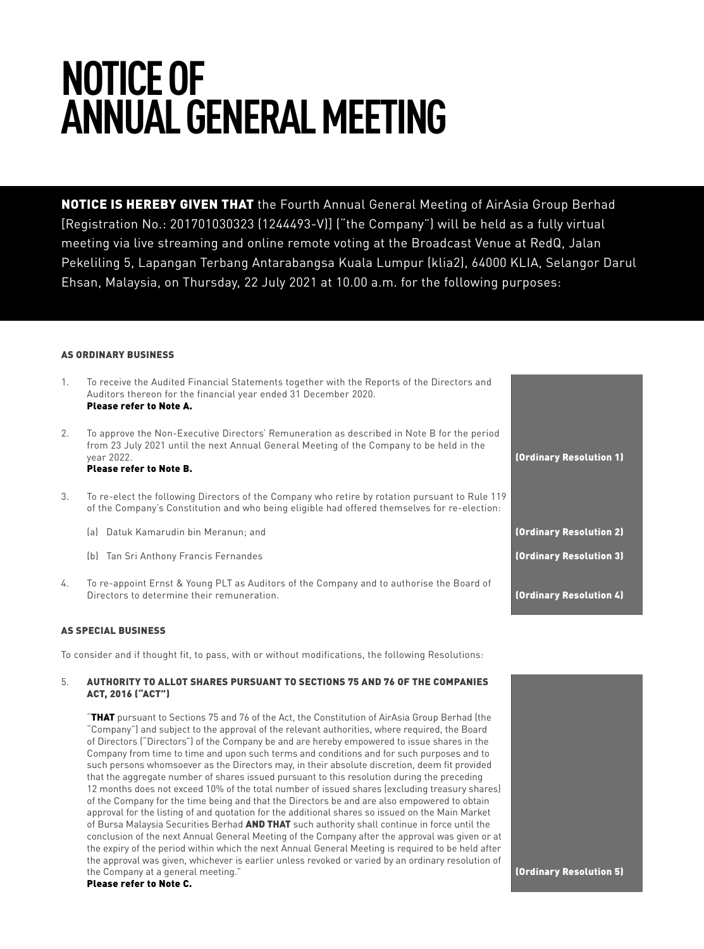# **NOTICE OF ANNUAL GENERAL MEETING**

NOTICE IS HEREBY GIVEN THAT the Fourth Annual General Meeting of AirAsia Group Berhad [Registration No.: 201701030323 (1244493-V)] ("the Company") will be held as a fully virtual meeting via live streaming and online remote voting at the Broadcast Venue at RedQ, Jalan Pekeliling 5, Lapangan Terbang Antarabangsa Kuala Lumpur (klia2), 64000 KLIA, Selangor Darul Ehsan, Malaysia, on Thursday, 22 July 2021 at 10.00 a.m. for the following purposes:

# AS ORDINARY BUSINESS

- 1. To receive the Audited Financial Statements together with the Reports of the Directors and Auditors thereon for the financial year ended 31 December 2020. Please refer to Note A.
- 2. To approve the Non-Executive Directors' Remuneration as described in Note B for the period from 23 July 2021 until the next Annual General Meeting of the Company to be held in the year 2022. Please refer to Note B.
- 3. To re-elect the following Directors of the Company who retire by rotation pursuant to Rule 119 of the Company's Constitution and who being eligible had offered themselves for re-election:
	- (a) Datuk Kamarudin bin Meranun; and
	- (b) Tan Sri Anthony Francis Fernandes
- 4. To re-appoint Ernst & Young PLT as Auditors of the Company and to authorise the Board of Directors to determine their remuneration. The contractors of the contractors of the contractors of the contractors of the contractors of the contractors of the contractors of the contractors of the contractors of the cont

# AS SPECIAL BUSINESS

To consider and if thought fit, to pass, with or without modifications, the following Resolutions:

# 5. AUTHORITY TO ALLOT SHARES PURSUANT TO SECTIONS 75 AND 76 OF THE COMPANIES ACT, 2016 ("ACT")

"THAT pursuant to Sections 75 and 76 of the Act, the Constitution of AirAsia Group Berhad (the "Company") and subject to the approval of the relevant authorities, where required, the Board of Directors ("Directors") of the Company be and are hereby empowered to issue shares in the Company from time to time and upon such terms and conditions and for such purposes and to such persons whomsoever as the Directors may, in their absolute discretion, deem fit provided that the aggregate number of shares issued pursuant to this resolution during the preceding 12 months does not exceed 10% of the total number of issued shares (excluding treasury shares) of the Company for the time being and that the Directors be and are also empowered to obtain approval for the listing of and quotation for the additional shares so issued on the Main Market of Bursa Malaysia Securities Berhad AND THAT such authority shall continue in force until the conclusion of the next Annual General Meeting of the Company after the approval was given or at the expiry of the period within which the next Annual General Meeting is required to be held after the approval was given, whichever is earlier unless revoked or varied by an ordinary resolution of the Company at a general meeting." Please refer to Note C.

# (Ordinary Resolution 1) (Ordinary Resolution 2) (Ordinary Resolution 3)

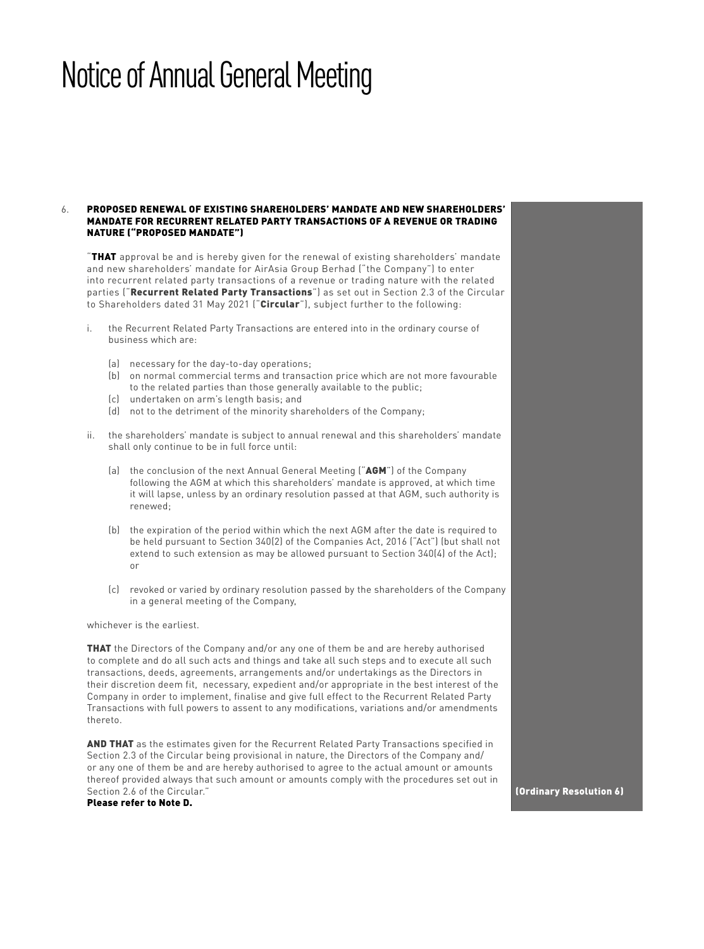# 6. PROPOSED RENEWAL OF EXISTING SHAREHOLDERS' MANDATE AND NEW SHAREHOLDERS' MANDATE FOR RECURRENT RELATED PARTY TRANSACTIONS OF A REVENUE OR TRADING NATURE ("PROPOSED MANDATE")

"THAT approval be and is hereby given for the renewal of existing shareholders' mandate and new shareholders' mandate for AirAsia Group Berhad ("the Company") to enter into recurrent related party transactions of a revenue or trading nature with the related parties ("Recurrent Related Party Transactions") as set out in Section 2.3 of the Circular to Shareholders dated 31 May 2021 ("Circular"), subject further to the following:

- i. the Recurrent Related Party Transactions are entered into in the ordinary course of business which are:
	- (a) necessary for the day-to-day operations;
	- (b) on normal commercial terms and transaction price which are not more favourable to the related parties than those generally available to the public;
	- (c) undertaken on arm's length basis; and
	- (d) not to the detriment of the minority shareholders of the Company;
- ii. the shareholders' mandate is subject to annual renewal and this shareholders' mandate shall only continue to be in full force until:
	- (a) the conclusion of the next Annual General Meeting ("AGM") of the Company following the AGM at which this shareholders' mandate is approved, at which time it will lapse, unless by an ordinary resolution passed at that AGM, such authority is renewed;
	- (b) the expiration of the period within which the next AGM after the date is required to be held pursuant to Section 340(2) of the Companies Act, 2016 ("Act") (but shall not extend to such extension as may be allowed pursuant to Section 340(4) of the Act); or
	- (c) revoked or varied by ordinary resolution passed by the shareholders of the Company in a general meeting of the Company,

whichever is the earliest.

**THAT** the Directors of the Company and/or any one of them be and are hereby authorised to complete and do all such acts and things and take all such steps and to execute all such transactions, deeds, agreements, arrangements and/or undertakings as the Directors in their discretion deem fit, necessary, expedient and/or appropriate in the best interest of the Company in order to implement, finalise and give full effect to the Recurrent Related Party Transactions with full powers to assent to any modifications, variations and/or amendments thereto.

AND THAT as the estimates given for the Recurrent Related Party Transactions specified in Section 2.3 of the Circular being provisional in nature, the Directors of the Company and/ or any one of them be and are hereby authorised to agree to the actual amount or amounts thereof provided always that such amount or amounts comply with the procedures set out in Section 2.6 of the Circular." Please refer to Note D.

(Ordinary Resolution 6)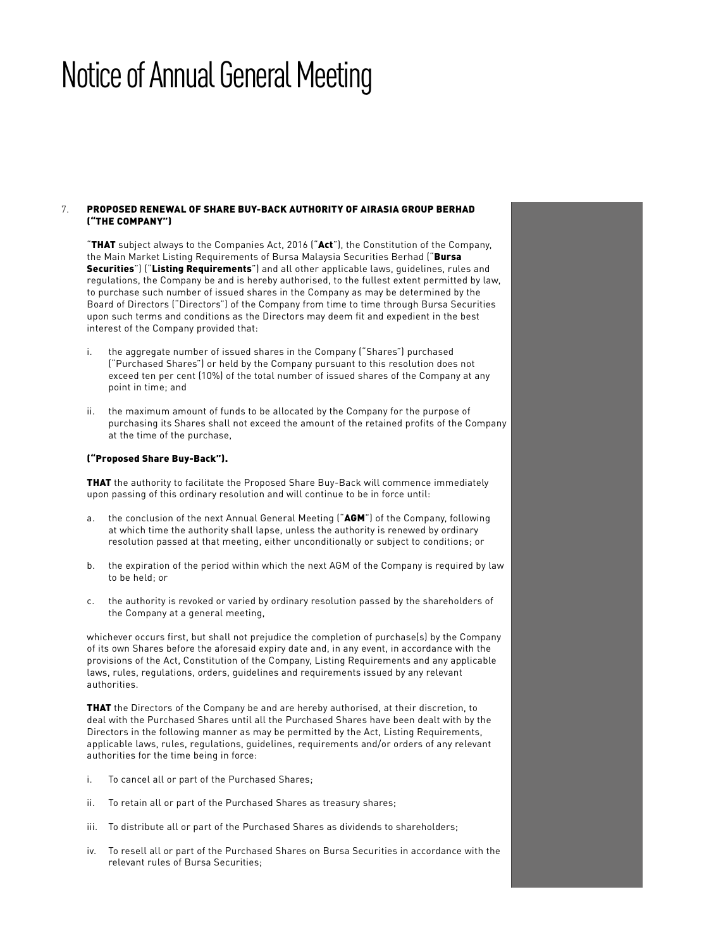# 7. PROPOSED RENEWAL OF SHARE BUY-BACK AUTHORITY OF AIRASIA GROUP BERHAD ("THE COMPANY")

"THAT subject always to the Companies Act, 2016 ("Act"), the Constitution of the Company, the Main Market Listing Requirements of Bursa Malaysia Securities Berhad ("Bursa Securities") ("Listing Requirements") and all other applicable laws, quidelines, rules and regulations, the Company be and is hereby authorised, to the fullest extent permitted by law, to purchase such number of issued shares in the Company as may be determined by the Board of Directors ("Directors") of the Company from time to time through Bursa Securities upon such terms and conditions as the Directors may deem fit and expedient in the best interest of the Company provided that:

- i. the aggregate number of issued shares in the Company ("Shares") purchased ("Purchased Shares") or held by the Company pursuant to this resolution does not exceed ten per cent (10%) of the total number of issued shares of the Company at any point in time; and
- ii. the maximum amount of funds to be allocated by the Company for the purpose of purchasing its Shares shall not exceed the amount of the retained profits of the Company at the time of the purchase,

# ("Proposed Share Buy-Back").

**THAT** the authority to facilitate the Proposed Share Buy-Back will commence immediately upon passing of this ordinary resolution and will continue to be in force until:

- a. the conclusion of the next Annual General Meeting ("AGM") of the Company, following at which time the authority shall lapse, unless the authority is renewed by ordinary resolution passed at that meeting, either unconditionally or subject to conditions; or
- b. the expiration of the period within which the next AGM of the Company is required by law to be held; or
- c. the authority is revoked or varied by ordinary resolution passed by the shareholders of the Company at a general meeting,

whichever occurs first, but shall not prejudice the completion of purchase(s) by the Company of its own Shares before the aforesaid expiry date and, in any event, in accordance with the provisions of the Act, Constitution of the Company, Listing Requirements and any applicable laws, rules, regulations, orders, guidelines and requirements issued by any relevant authorities.

**THAT** the Directors of the Company be and are hereby authorised, at their discretion, to deal with the Purchased Shares until all the Purchased Shares have been dealt with by the Directors in the following manner as may be permitted by the Act, Listing Requirements, applicable laws, rules, regulations, guidelines, requirements and/or orders of any relevant authorities for the time being in force:

- i. To cancel all or part of the Purchased Shares;
- ii. To retain all or part of the Purchased Shares as treasury shares;
- iii. To distribute all or part of the Purchased Shares as dividends to shareholders;
- iv. To resell all or part of the Purchased Shares on Bursa Securities in accordance with the relevant rules of Bursa Securities;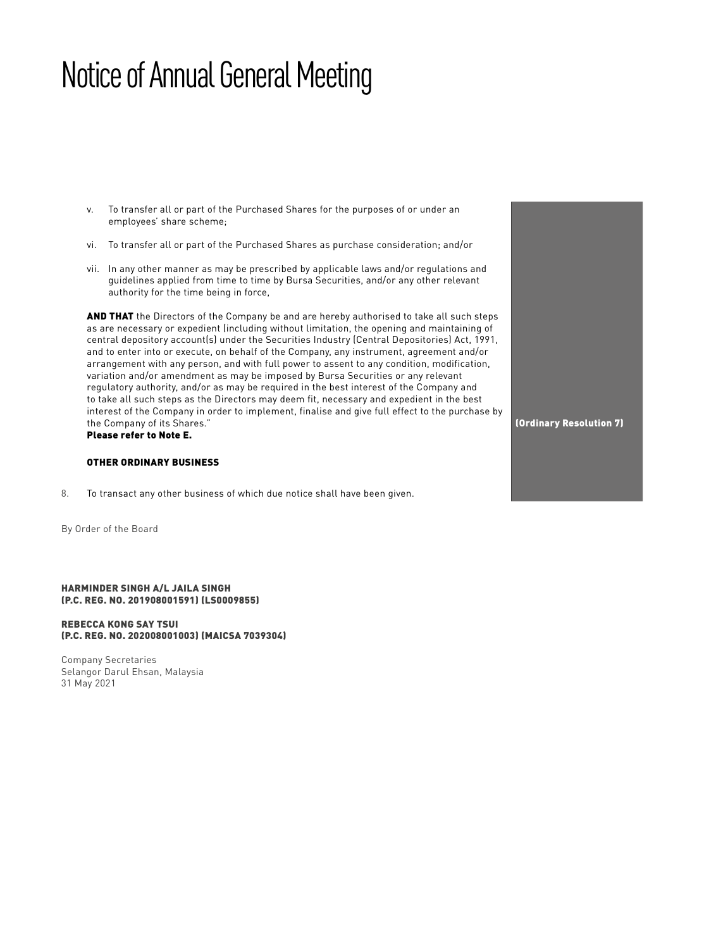- v. To transfer all or part of the Purchased Shares for the purposes of or under an employees' share scheme;
- vi. To transfer all or part of the Purchased Shares as purchase consideration; and/or
- vii. In any other manner as may be prescribed by applicable laws and/or regulations and guidelines applied from time to time by Bursa Securities, and/or any other relevant authority for the time being in force,

AND THAT the Directors of the Company be and are hereby authorised to take all such steps as are necessary or expedient (including without limitation, the opening and maintaining of central depository account(s) under the Securities Industry (Central Depositories) Act, 1991, and to enter into or execute, on behalf of the Company, any instrument, agreement and/or arrangement with any person, and with full power to assent to any condition, modification, variation and/or amendment as may be imposed by Bursa Securities or any relevant regulatory authority, and/or as may be required in the best interest of the Company and to take all such steps as the Directors may deem fit, necessary and expedient in the best interest of the Company in order to implement, finalise and give full effect to the purchase by the Company of its Shares." Please refer to Note E.

# OTHER ORDINARY BUSINESS

8. To transact any other business of which due notice shall have been given.

By Order of the Board

HARMINDER SINGH A/L JAILA SINGH (P.C. REG. NO. 201908001591) (LS0009855)

### REBECCA KONG SAY TSUI (P.C. REG. NO. 202008001003) (MAICSA 7039304)

Company Secretaries Selangor Darul Ehsan, Malaysia 31 May 2021

(Ordinary Resolution 7)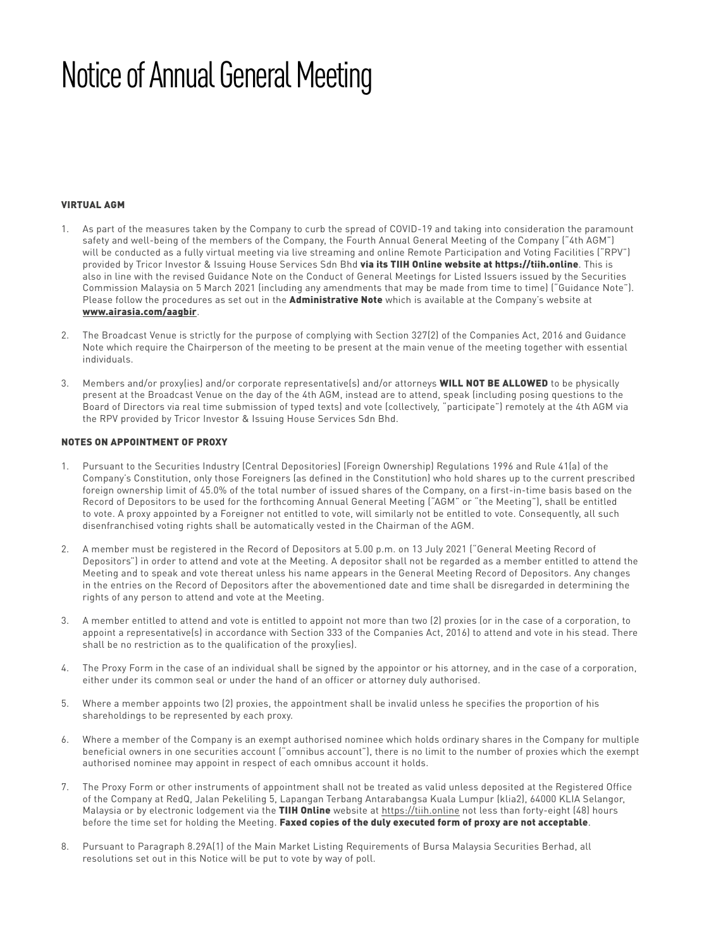# VIRTUAL AGM

- 1. As part of the measures taken by the Company to curb the spread of COVID-19 and taking into consideration the paramount safety and well-being of the members of the Company, the Fourth Annual General Meeting of the Company ("4th AGM") will be conducted as a fully virtual meeting via live streaming and online Remote Participation and Voting Facilities ("RPV") provided by Tricor Investor & Issuing House Services Sdn Bhd via its TIIH Online website at https://tiih.online. This is also in line with the revised Guidance Note on the Conduct of General Meetings for Listed Issuers issued by the Securities Commission Malaysia on 5 March 2021 (including any amendments that may be made from time to time) ("Guidance Note"). Please follow the procedures as set out in the **Administrative Note** which is available at the Company's website at www.airasia.com/aagbir.
- 2. The Broadcast Venue is strictly for the purpose of complying with Section 327(2) of the Companies Act, 2016 and Guidance Note which require the Chairperson of the meeting to be present at the main venue of the meeting together with essential individuals.
- Members and/or proxy(ies) and/or corporate representative(s) and/or attorneys WILL NOT BE ALLOWED to be physically present at the Broadcast Venue on the day of the 4th AGM, instead are to attend, speak (including posing questions to the Board of Directors via real time submission of typed texts) and vote (collectively, "participate") remotely at the 4th AGM via the RPV provided by Tricor Investor & Issuing House Services Sdn Bhd.

# NOTES ON APPOINTMENT OF PROXY

- 1. Pursuant to the Securities Industry (Central Depositories) (Foreign Ownership) Regulations 1996 and Rule 41(a) of the Company's Constitution, only those Foreigners (as defined in the Constitution) who hold shares up to the current prescribed foreign ownership limit of 45.0% of the total number of issued shares of the Company, on a first-in-time basis based on the Record of Depositors to be used for the forthcoming Annual General Meeting ("AGM" or "the Meeting"), shall be entitled to vote. A proxy appointed by a Foreigner not entitled to vote, will similarly not be entitled to vote. Consequently, all such disenfranchised voting rights shall be automatically vested in the Chairman of the AGM.
- 2. A member must be registered in the Record of Depositors at 5.00 p.m. on 13 July 2021 ("General Meeting Record of Depositors") in order to attend and vote at the Meeting. A depositor shall not be regarded as a member entitled to attend the Meeting and to speak and vote thereat unless his name appears in the General Meeting Record of Depositors. Any changes in the entries on the Record of Depositors after the abovementioned date and time shall be disregarded in determining the rights of any person to attend and vote at the Meeting.
- 3. A member entitled to attend and vote is entitled to appoint not more than two (2) proxies (or in the case of a corporation, to appoint a representative(s) in accordance with Section 333 of the Companies Act, 2016) to attend and vote in his stead. There shall be no restriction as to the qualification of the proxy(ies).
- 4. The Proxy Form in the case of an individual shall be signed by the appointor or his attorney, and in the case of a corporation, either under its common seal or under the hand of an officer or attorney duly authorised.
- 5. Where a member appoints two (2) proxies, the appointment shall be invalid unless he specifies the proportion of his shareholdings to be represented by each proxy.
- 6. Where a member of the Company is an exempt authorised nominee which holds ordinary shares in the Company for multiple beneficial owners in one securities account ("omnibus account"), there is no limit to the number of proxies which the exempt authorised nominee may appoint in respect of each omnibus account it holds.
- 7. The Proxy Form or other instruments of appointment shall not be treated as valid unless deposited at the Registered Office of the Company at RedQ, Jalan Pekeliling 5, Lapangan Terbang Antarabangsa Kuala Lumpur (klia2), 64000 KLIA Selangor, Malaysia or by electronic lodgement via the TIIH Online website at https://tiih.online not less than forty-eight (48) hours before the time set for holding the Meeting. Faxed copies of the duly executed form of proxy are not acceptable.
- 8. Pursuant to Paragraph 8.29A(1) of the Main Market Listing Requirements of Bursa Malaysia Securities Berhad, all resolutions set out in this Notice will be put to vote by way of poll.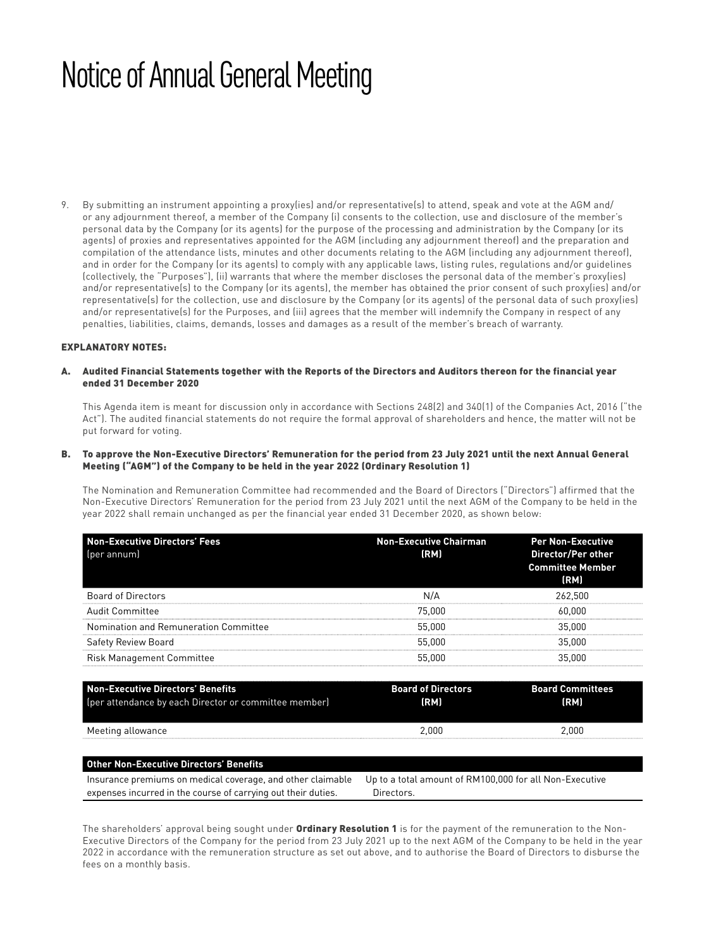9. By submitting an instrument appointing a proxy(ies) and/or representative(s) to attend, speak and vote at the AGM and/ or any adjournment thereof, a member of the Company (i) consents to the collection, use and disclosure of the member's personal data by the Company (or its agents) for the purpose of the processing and administration by the Company (or its agents) of proxies and representatives appointed for the AGM (including any adjournment thereof) and the preparation and compilation of the attendance lists, minutes and other documents relating to the AGM (including any adjournment thereof), and in order for the Company (or its agents) to comply with any applicable laws, listing rules, regulations and/or guidelines (collectively, the "Purposes"), (ii) warrants that where the member discloses the personal data of the member's proxy(ies) and/or representative(s) to the Company (or its agents), the member has obtained the prior consent of such proxy(ies) and/or representative(s) for the collection, use and disclosure by the Company (or its agents) of the personal data of such proxy(ies) and/or representative(s) for the Purposes, and (iii) agrees that the member will indemnify the Company in respect of any penalties, liabilities, claims, demands, losses and damages as a result of the member's breach of warranty.

# EXPLANATORY NOTES:

A. Audited Financial Statements together with the Reports of the Directors and Auditors thereon for the financial year ended 31 December 2020

 This Agenda item is meant for discussion only in accordance with Sections 248(2) and 340(1) of the Companies Act, 2016 ("the Act"). The audited financial statements do not require the formal approval of shareholders and hence, the matter will not be put forward for voting.

# B. To approve the Non-Executive Directors' Remuneration for the period from 23 July 2021 until the next Annual General Meeting ("AGM") of the Company to be held in the year 2022 (Ordinary Resolution 1)

 The Nomination and Remuneration Committee had recommended and the Board of Directors ("Directors") affirmed that the Non-Executive Directors' Remuneration for the period from 23 July 2021 until the next AGM of the Company to be held in the year 2022 shall remain unchanged as per the financial year ended 31 December 2020, as shown below:

| <b>Non-Executive Directors' Fees</b><br>per annuml | <b>Non-Executive Chairman</b><br>(RM) | <b>Per Non-Executive</b><br>Director/Per other<br><b>Committee Member</b><br>(RM) |
|----------------------------------------------------|---------------------------------------|-----------------------------------------------------------------------------------|
| <b>Board of Directors</b>                          | N/A                                   | 262.500                                                                           |
| <b>Audit Committee</b>                             | 75.000                                | 60.000                                                                            |
| Nomination and Remuneration Committee              | 55.000                                | 35,000                                                                            |
| <b>Safety Review Board</b>                         | 55,000                                | 35,000                                                                            |
| <b>Risk Management Committee</b>                   | 55,000                                | 35,000                                                                            |

| Non-Executive Directors' Benefits                     | <b>Board of Directors</b> | <b>Board Committees</b> |
|-------------------------------------------------------|---------------------------|-------------------------|
| (per attendance by each Director or committee member) | (RM)                      | (RM)                    |
| Meeting allowance                                     | 2.000                     | 2.000                   |

| <b>Other Non-Executive Directors' Benefits</b>                                                                      |            |
|---------------------------------------------------------------------------------------------------------------------|------------|
| Insurance premiums on medical coverage, and other claimable Up to a total amount of RM100,000 for all Non-Executive |            |
| expenses incurred in the course of carrying out their duties.                                                       | Directors. |

The shareholders' approval being sought under **Ordinary Resolution 1** is for the payment of the remuneration to the Non-Executive Directors of the Company for the period from 23 July 2021 up to the next AGM of the Company to be held in the year 2022 in accordance with the remuneration structure as set out above, and to authorise the Board of Directors to disburse the fees on a monthly basis.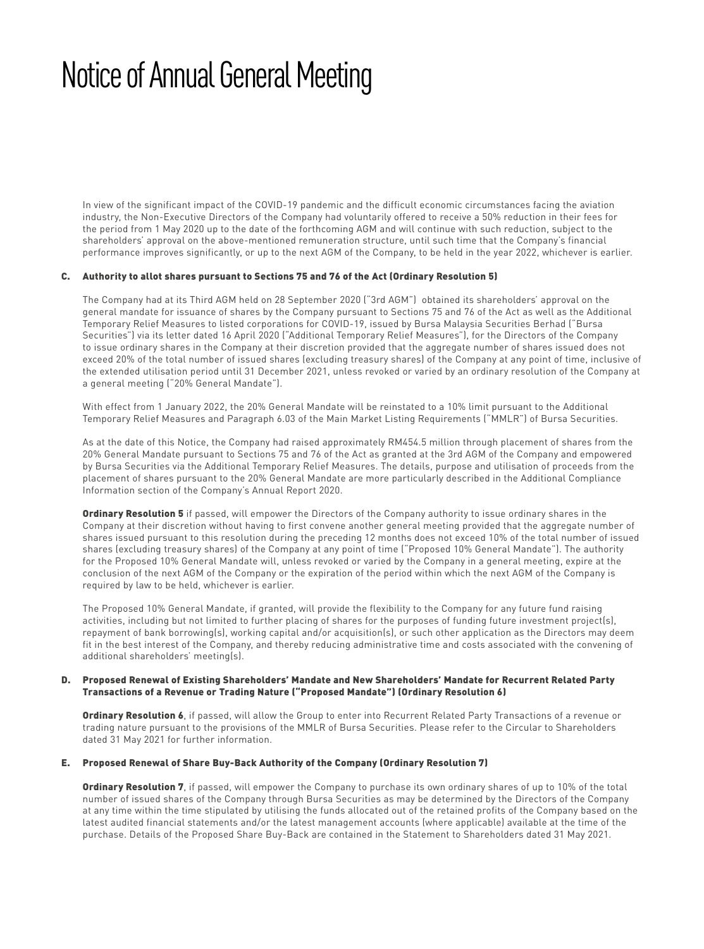In view of the significant impact of the COVID-19 pandemic and the difficult economic circumstances facing the aviation industry, the Non-Executive Directors of the Company had voluntarily offered to receive a 50% reduction in their fees for the period from 1 May 2020 up to the date of the forthcoming AGM and will continue with such reduction, subject to the shareholders' approval on the above-mentioned remuneration structure, until such time that the Company's financial performance improves significantly, or up to the next AGM of the Company, to be held in the year 2022, whichever is earlier.

# C. Authority to allot shares pursuant to Sections 75 and 76 of the Act (Ordinary Resolution 5)

 The Company had at its Third AGM held on 28 September 2020 ("3rd AGM") obtained its shareholders' approval on the general mandate for issuance of shares by the Company pursuant to Sections 75 and 76 of the Act as well as the Additional Temporary Relief Measures to listed corporations for COVID-19, issued by Bursa Malaysia Securities Berhad ("Bursa Securities") via its letter dated 16 April 2020 ("Additional Temporary Relief Measures"), for the Directors of the Company to issue ordinary shares in the Company at their discretion provided that the aggregate number of shares issued does not exceed 20% of the total number of issued shares (excluding treasury shares) of the Company at any point of time, inclusive of the extended utilisation period until 31 December 2021, unless revoked or varied by an ordinary resolution of the Company at a general meeting ("20% General Mandate").

 With effect from 1 January 2022, the 20% General Mandate will be reinstated to a 10% limit pursuant to the Additional Temporary Relief Measures and Paragraph 6.03 of the Main Market Listing Requirements ("MMLR") of Bursa Securities.

 As at the date of this Notice, the Company had raised approximately RM454.5 million through placement of shares from the 20% General Mandate pursuant to Sections 75 and 76 of the Act as granted at the 3rd AGM of the Company and empowered by Bursa Securities via the Additional Temporary Relief Measures. The details, purpose and utilisation of proceeds from the placement of shares pursuant to the 20% General Mandate are more particularly described in the Additional Compliance Information section of the Company's Annual Report 2020.

Ordinary Resolution 5 if passed, will empower the Directors of the Company authority to issue ordinary shares in the Company at their discretion without having to first convene another general meeting provided that the aggregate number of shares issued pursuant to this resolution during the preceding 12 months does not exceed 10% of the total number of issued shares (excluding treasury shares) of the Company at any point of time ("Proposed 10% General Mandate"). The authority for the Proposed 10% General Mandate will, unless revoked or varied by the Company in a general meeting, expire at the conclusion of the next AGM of the Company or the expiration of the period within which the next AGM of the Company is required by law to be held, whichever is earlier.

 The Proposed 10% General Mandate, if granted, will provide the flexibility to the Company for any future fund raising activities, including but not limited to further placing of shares for the purposes of funding future investment project(s), repayment of bank borrowing(s), working capital and/or acquisition(s), or such other application as the Directors may deem fit in the best interest of the Company, and thereby reducing administrative time and costs associated with the convening of additional shareholders' meeting(s).

### D. Proposed Renewal of Existing Shareholders' Mandate and New Shareholders' Mandate for Recurrent Related Party Transactions of a Revenue or Trading Nature ("Proposed Mandate") (Ordinary Resolution 6)

Ordinary Resolution 6, if passed, will allow the Group to enter into Recurrent Related Party Transactions of a revenue or trading nature pursuant to the provisions of the MMLR of Bursa Securities. Please refer to the Circular to Shareholders dated 31 May 2021 for further information.

### E. Proposed Renewal of Share Buy-Back Authority of the Company (Ordinary Resolution 7)

Ordinary Resolution 7, if passed, will empower the Company to purchase its own ordinary shares of up to 10% of the total number of issued shares of the Company through Bursa Securities as may be determined by the Directors of the Company at any time within the time stipulated by utilising the funds allocated out of the retained profits of the Company based on the latest audited financial statements and/or the latest management accounts (where applicable) available at the time of the purchase. Details of the Proposed Share Buy-Back are contained in the Statement to Shareholders dated 31 May 2021.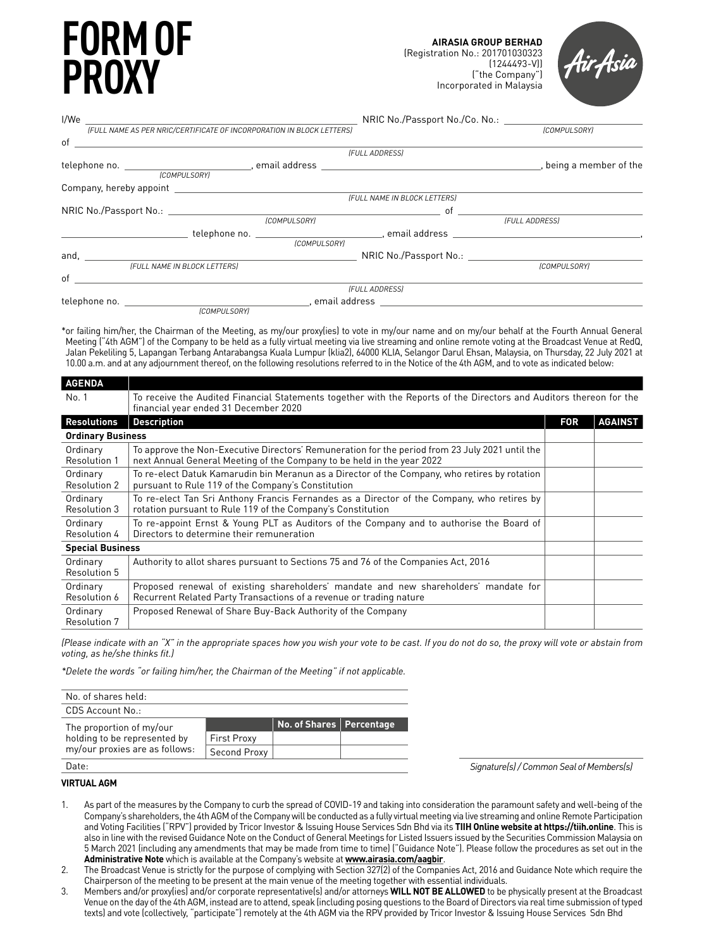# **FORM OF PROXY**



| I/We | <u> 1989 - John Stein, Amerikaansk politiker (* 1908)</u>                                                                                                                                                                      | NRIC No./Passport No./Co. No.: |                            |
|------|--------------------------------------------------------------------------------------------------------------------------------------------------------------------------------------------------------------------------------|--------------------------------|----------------------------|
|      | (FULL NAME AS PER NRIC/CERTIFICATE OF INCORPORATION IN BLOCK LETTERS)                                                                                                                                                          |                                | <b>[COMPULSORY]</b>        |
|      | $of$ $\overline{\phantom{a}}$                                                                                                                                                                                                  |                                |                            |
|      |                                                                                                                                                                                                                                | (FULL ADDRESS)                 |                            |
|      |                                                                                                                                                                                                                                |                                | , being a member of the    |
|      | <b>ICOMPULSORYI</b>                                                                                                                                                                                                            |                                |                            |
|      |                                                                                                                                                                                                                                |                                |                            |
|      |                                                                                                                                                                                                                                | (FULL NAME IN BLOCK LETTERS)   |                            |
|      | NRIC No./Passport No.: No.: New York No.: New York No.: New York No.: New York No.: New York No.: New York No.: New York No.: New York No.: New York No.: New York No.: New York No.: New York No.: New York No.: New York No. | of                             |                            |
|      | (COMPULSORY)                                                                                                                                                                                                                   |                                | (FULL ADDRESS)             |
|      |                                                                                                                                                                                                                                |                                |                            |
|      |                                                                                                                                                                                                                                | <b>[COMPULSORY]</b>            |                            |
|      |                                                                                                                                                                                                                                |                                |                            |
|      | (FULL NAME IN BLOCK LETTERS)                                                                                                                                                                                                   |                                | <i><b>[COMPULSORY]</b></i> |
| of   |                                                                                                                                                                                                                                |                                |                            |
|      |                                                                                                                                                                                                                                | (FULL ADDRESS)                 |                            |
|      |                                                                                                                                                                                                                                |                                |                            |
|      | <b>COMPULSORYL</b>                                                                                                                                                                                                             |                                |                            |

\*or failing him/her, the Chairman of the Meeting, as my/our proxy(ies) to vote in my/our name and on my/our behalf at the Fourth Annual General Meeting ("4th AGM") of the Company to be held as a fully virtual meeting via live streaming and online remote voting at the Broadcast Venue at RedQ, Jalan Pekeliling 5, Lapangan Terbang Antarabangsa Kuala Lumpur (klia2), 64000 KLIA, Selangor Darul Ehsan, Malaysia, on Thursday, 22 July 2021 at 10.00 a.m. and at any adjournment thereof, on the following resolutions referred to in the Notice of the 4th AGM, and to vote as indicated below:

| <b>AGENDA</b>                   |                                                                                                                                                                           |            |                |
|---------------------------------|---------------------------------------------------------------------------------------------------------------------------------------------------------------------------|------------|----------------|
| No. 1                           | To receive the Audited Financial Statements together with the Reports of the Directors and Auditors thereon for the<br>financial year ended 31 December 2020              |            |                |
| <b>Resolutions</b>              | <b>Description</b>                                                                                                                                                        | <b>FOR</b> | <b>AGAINST</b> |
| <b>Ordinary Business</b>        |                                                                                                                                                                           |            |                |
| Ordinary<br><b>Resolution 1</b> | To approve the Non-Executive Directors' Remuneration for the period from 23 July 2021 until the<br>next Annual General Meeting of the Company to be held in the year 2022 |            |                |
| Ordinary<br><b>Resolution 2</b> | To re-elect Datuk Kamarudin bin Meranun as a Director of the Company, who retires by rotation<br>pursuant to Rule 119 of the Company's Constitution                       |            |                |
| Ordinary<br><b>Resolution 3</b> | To re-elect Tan Sri Anthony Francis Fernandes as a Director of the Company, who retires by<br>rotation pursuant to Rule 119 of the Company's Constitution                 |            |                |
| Ordinary<br>Resolution 4        | To re-appoint Ernst & Young PLT as Auditors of the Company and to authorise the Board of<br>Directors to determine their remuneration                                     |            |                |
| <b>Special Business</b>         |                                                                                                                                                                           |            |                |
| Ordinary<br>Resolution 5        | Authority to allot shares pursuant to Sections 75 and 76 of the Companies Act, 2016                                                                                       |            |                |
| Ordinary<br>Resolution 6        | Proposed renewal of existing shareholders' mandate and new shareholders' mandate for<br>Recurrent Related Party Transactions of a revenue or trading nature               |            |                |
| Ordinary<br><b>Resolution 7</b> | Proposed Renewal of Share Buy-Back Authority of the Company                                                                                                               |            |                |

*(Please indicate with an "X" in the appropriate spaces how you wish your vote to be cast. If you do not do so, the proxy will vote or abstain from voting, as he/she thinks fit.)*

*\*Delete the words "or failing him/her, the Chairman of the Meeting" if not applicable.*

| No. of shares held:            |                    |                            |  |
|--------------------------------|--------------------|----------------------------|--|
| CDS Account No.:               |                    |                            |  |
| The proportion of my/our       |                    | No. of Shares   Percentage |  |
| holding to be represented by   | <b>First Proxy</b> |                            |  |
| my/our proxies are as follows: | Second Proxy       |                            |  |
| Date:                          |                    |                            |  |

*Signature(s) / Common Seal of Members(s)*

 $\overline{a}$ 

# **VIRTUAL AGM**

- 1. As part of the measures by the Company to curb the spread of COVID-19 and taking into consideration the paramount safety and well-being of the Company's shareholders, the 4th AGM of the Company will be conducted as a fully virtual meeting via live streaming and online Remote Participation and Voting Facilities ("RPV") provided by Tricor Investor & Issuing House Services Sdn Bhd via its **TIIH Online website at https://tiih.online**. This is also in line with the revised Guidance Note on the Conduct of General Meetings for Listed Issuers issued by the Securities Commission Malaysia on 5 March 2021 (including any amendments that may be made from time to time) ("Guidance Note"). Please follow the procedures as set out in the **Administrative Note** which is available at the Company's website at **www.airasia.com/aagbir**.
- 2. The Broadcast Venue is strictly for the purpose of complying with Section 327(2) of the Companies Act, 2016 and Guidance Note which require the Chairperson of the meeting to be present at the main venue of the meeting together with essential individuals.
- 3. Members and/or proxy(ies) and/or corporate representative(s) and/or attorneys **WILL NOT BE ALLOWED** to be physically present at the Broadcast Venue on the day of the 4th AGM, instead are to attend, speak (including posing questions to the Board of Directors via real time submission of typed texts) and vote (collectively, "participate") remotely at the 4th AGM via the RPV provided by Tricor Investor & Issuing House Services Sdn Bhd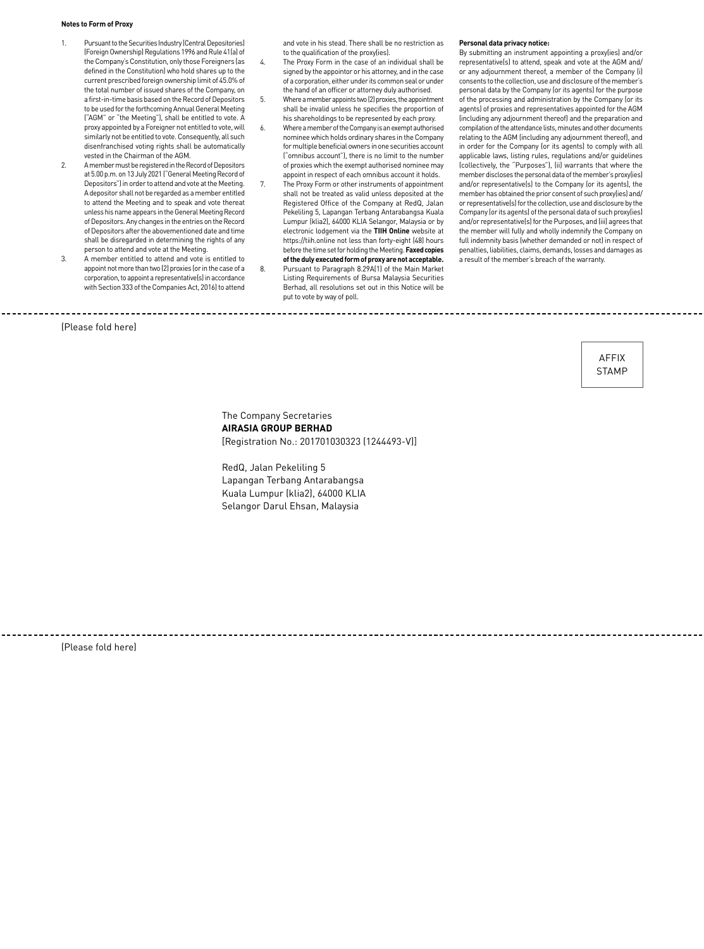#### **Notes to Form of Proxy**

- 1. Pursuant to the Securities Industry (Central Depositories) (Foreign Ownership) Regulations 1996 and Rule 41(a) of the Company's Constitution, only those Foreigners (as defined in the Constitution) who hold shares up to the current prescribed foreign ownership limit of 45.0% of the total number of issued shares of the Company, on a first-in-time basis based on the Record of Depositors to be used for the forthcoming Annual General Meeting ("AGM" or "the Meeting"), shall be entitled to vote. A proxy appointed by a Foreigner not entitled to vote, will similarly not be entitled to vote. Consequently, all such disenfranchised voting rights shall be automatically vested in the Chairman of the AGM.
- 2. A member must be registered in the Record of Depositors at 5.00 p.m. on 13 July 2021 ("General Meeting Record of Depositors") in order to attend and vote at the Meeting. A depositor shall not be regarded as a member entitled to attend the Meeting and to speak and vote thereat unless his name appears in the General Meeting Record of Depositors. Any changes in the entries on the Record of Depositors after the abovementioned date and time shall be disregarded in determining the rights of any person to attend and vote at the Meeting.
- 3. A member entitled to attend and vote is entitled to appoint not more than two (2) proxies (or in the case of a corporation, to appoint a representative(s) in accordance with Section 333 of the Companies Act, 2016) to attend

and vote in his stead. There shall be no restriction as to the qualification of the proxy(ies).

- 4. The Proxy Form in the case of an individual shall be signed by the appointor or his attorney, and in the case of a corporation, either under its common seal or under the hand of an officer or attorney duly authorised.
- 5. Where a member appoints two (2) proxies, the appointment shall be invalid unless he specifies the proportion of his shareholdings to be represented by each proxy.
- 6. Where a member of the Company is an exempt authorised nominee which holds ordinary shares in the Company for multiple beneficial owners in one securities account ("omnibus account"), there is no limit to the number of proxies which the exempt authorised nominee may appoint in respect of each omnibus account it holds.
- 7. The Proxy Form or other instruments of appointment shall not be treated as valid unless deposited at the Registered Office of the Company at RedQ, Jalan Pekeliling 5, Lapangan Terbang Antarabangsa Kuala Lumpur (klia2), 64000 KLIA Selangor, Malaysia or by electronic lodgement via the **TIIH Online** website at https://tiih.online not less than forty-eight (48) hours before the time set for holding the Meeting. **Faxed copies of the duly executed form of proxy are not acceptable.**
- 8. Pursuant to Paragraph 8.29A(1) of the Main Market Listing Requirements of Bursa Malaysia Securities Berhad, all resolutions set out in this Notice will be put to vote by way of poll.

#### **Personal data privacy notice:**

By submitting an instrument appointing a proxy(ies) and/or representative(s) to attend, speak and vote at the AGM and/ or any adjournment thereof, a member of the Company (i) consents to the collection, use and disclosure of the member's personal data by the Company (or its agents) for the purpose of the processing and administration by the Company (or its agents) of proxies and representatives appointed for the AGM (including any adjournment thereof) and the preparation and compilation of the attendance lists, minutes and other documents relating to the AGM (including any adjournment thereof), and in order for the Company (or its agents) to comply with all applicable laws, listing rules, regulations and/or guidelines (collectively, the "Purposes"), (ii) warrants that where the member discloses the personal data of the member's proxy(ies) and/or representative(s) to the Company (or its agents), the member has obtained the prior consent of such proxy(ies) and/ or representative(s) for the collection, use and disclosure by the Company (or its agents) of the personal data of such proxy(ies) and/or representative(s) for the Purposes, and (iii) agrees that the member will fully and wholly indemnify the Company on full indemnity basis (whether demanded or not) in respect of penalties, liabilities, claims, demands, losses and damages as a result of the member's breach of the warranty.

#### (Please fold here)

Affix **STAMP** 

# The Company Secretaries **AIRASIA GROUP BERHAD**  [Registration No.: 201701030323 (1244493-V)]

RedQ, Jalan Pekeliling 5 Lapangan Terbang Antarabangsa Kuala Lumpur (klia2), 64000 KLIA Selangor Darul Ehsan, Malaysia

\_\_\_\_\_\_\_\_\_\_\_\_\_\_\_\_\_\_\_\_\_\_\_\_\_\_\_\_\_\_\_\_\_\_\_\_\_\_

(Please fold here)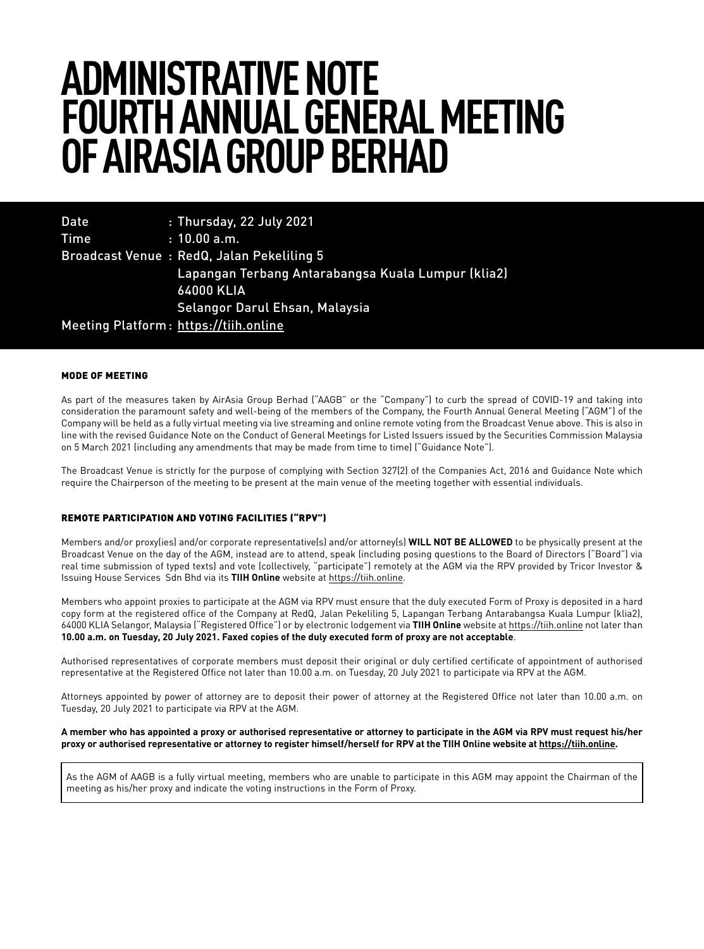# **ADMINISTRATIVE NOTE FOURTH ANNUAL GENERAL MEETING OF AIRASIA GROUP BERHAD**

| <b>Date</b> | : Thursday, 22 July 2021                           |
|-------------|----------------------------------------------------|
| <b>Time</b> | $: 10.00$ a.m.                                     |
|             | Broadcast Venue: RedQ, Jalan Pekeliling 5          |
|             | Lapangan Terbang Antarabangsa Kuala Lumpur (klia2) |
|             | <b>64000 KLIA</b>                                  |
|             | Selangor Darul Ehsan, Malaysia                     |
|             | Meeting Platform: https://tiih.online              |

### MODE OF MEETING

As part of the measures taken by AirAsia Group Berhad ("AAGB" or the "Company") to curb the spread of COVID-19 and taking into consideration the paramount safety and well-being of the members of the Company, the Fourth Annual General Meeting ("AGM") of the Company will be held as a fully virtual meeting via live streaming and online remote voting from the Broadcast Venue above. This is also in line with the revised Guidance Note on the Conduct of General Meetings for Listed Issuers issued by the Securities Commission Malaysia on 5 March 2021 (including any amendments that may be made from time to time) ("Guidance Note").

The Broadcast Venue is strictly for the purpose of complying with Section 327(2) of the Companies Act, 2016 and Guidance Note which require the Chairperson of the meeting to be present at the main venue of the meeting together with essential individuals.

# REMOTE PARTICIPATION AND VOTING FACILITIES ("RPV")

Members and/or proxy(ies) and/or corporate representative(s) and/or attorney(s) **WILL NOT BE ALLOWED** to be physically present at the Broadcast Venue on the day of the AGM, instead are to attend, speak (including posing questions to the Board of Directors ("Board") via real time submission of typed texts) and vote (collectively, "participate") remotely at the AGM via the RPV provided by Tricor Investor & Issuing House Services Sdn Bhd via its **TIIH Online** website at https://tiih.online.

Members who appoint proxies to participate at the AGM via RPV must ensure that the duly executed Form of Proxy is deposited in a hard copy form at the registered office of the Company at RedQ, Jalan Pekeliling 5, Lapangan Terbang Antarabangsa Kuala Lumpur (klia2), 64000 KLIA Selangor, Malaysia ("Registered Office") or by electronic lodgement via **TIIH Online** website at https://tiih.online not later than **10.00 a.m. on Tuesday, 20 July 2021. Faxed copies of the duly executed form of proxy are not acceptable**.

Authorised representatives of corporate members must deposit their original or duly certified certificate of appointment of authorised representative at the Registered Office not later than 10.00 a.m. on Tuesday, 20 July 2021 to participate via RPV at the AGM.

Attorneys appointed by power of attorney are to deposit their power of attorney at the Registered Office not later than 10.00 a.m. on Tuesday, 20 July 2021 to participate via RPV at the AGM.

### **A member who has appointed a proxy or authorised representative or attorney to participate in the AGM via RPV must request his/her proxy or authorised representative or attorney to register himself/herself for RPV at the TIIH Online website at https://tiih.online.**

As the AGM of AAGB is a fully virtual meeting, members who are unable to participate in this AGM may appoint the Chairman of the meeting as his/her proxy and indicate the voting instructions in the Form of Proxy.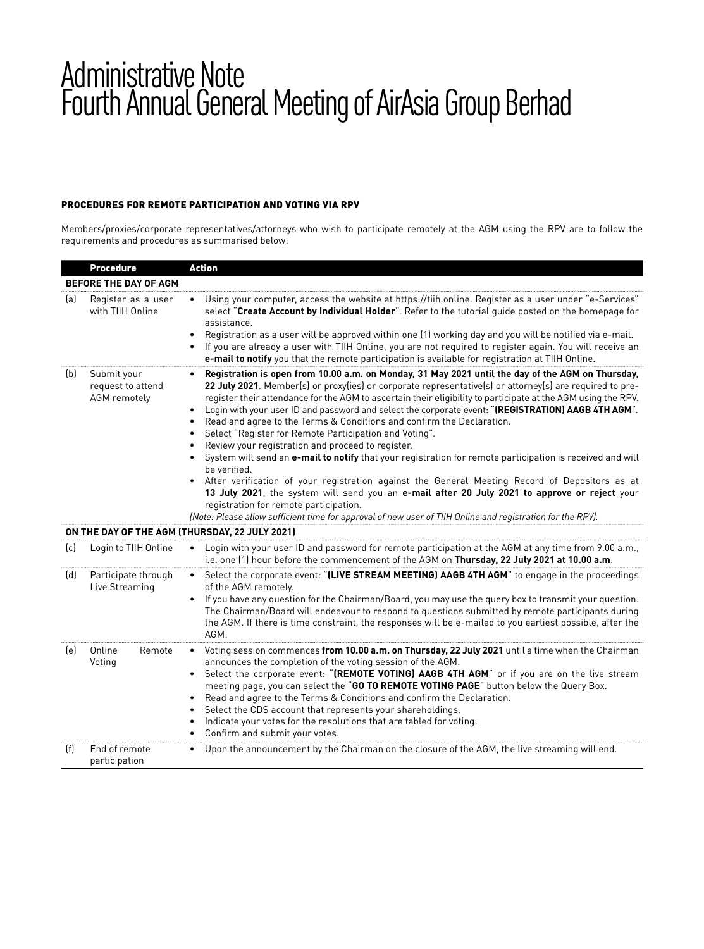# PROCEDURES FOR REMOTE PARTICIPATION AND VOTING VIA RPV

Members/proxies/corporate representatives/attorneys who wish to participate remotely at the AGM using the RPV are to follow the requirements and procedures as summarised below:

|     | <b>Procedure</b>                                 | <b>Action</b>                                                                                                                                                                                                                                                                                                                                                                                                                                                                                                                                                                                                                                                                                                                                                                                                                                                                                                                                                                                                                                                                                                                                                             |
|-----|--------------------------------------------------|---------------------------------------------------------------------------------------------------------------------------------------------------------------------------------------------------------------------------------------------------------------------------------------------------------------------------------------------------------------------------------------------------------------------------------------------------------------------------------------------------------------------------------------------------------------------------------------------------------------------------------------------------------------------------------------------------------------------------------------------------------------------------------------------------------------------------------------------------------------------------------------------------------------------------------------------------------------------------------------------------------------------------------------------------------------------------------------------------------------------------------------------------------------------------|
|     | BEFORE THE DAY OF AGM                            |                                                                                                                                                                                                                                                                                                                                                                                                                                                                                                                                                                                                                                                                                                                                                                                                                                                                                                                                                                                                                                                                                                                                                                           |
| (a) | Register as a user<br>with TIIH Online           | Using your computer, access the website at https://tiih.online. Register as a user under "e-Services"<br>$\bullet$<br>select "Create Account by Individual Holder". Refer to the tutorial quide posted on the homepage for<br>assistance.<br>Registration as a user will be approved within one (1) working day and you will be notified via e-mail.<br>$\bullet$<br>If you are already a user with TIIH Online, you are not required to register again. You will receive an<br>e-mail to notify you that the remote participation is available for registration at TIIH Online.                                                                                                                                                                                                                                                                                                                                                                                                                                                                                                                                                                                          |
| (b) | Submit your<br>request to attend<br>AGM remotely | Registration is open from 10.00 a.m. on Monday, 31 May 2021 until the day of the AGM on Thursday,<br>$\bullet$<br>22 July 2021. Member(s) or proxy(ies) or corporate representative(s) or attorney(s) are required to pre-<br>register their attendance for the AGM to ascertain their eligibility to participate at the AGM using the RPV.<br>Login with your user ID and password and select the corporate event: "(REGISTRATION) AAGB 4TH AGM".<br>Read and agree to the Terms & Conditions and confirm the Declaration.<br>$\bullet$<br>Select "Register for Remote Participation and Voting".<br>$\bullet$<br>Review your registration and proceed to register.<br>$\bullet$<br>System will send an e-mail to notify that your registration for remote participation is received and will<br>be verified.<br>After verification of your registration against the General Meeting Record of Depositors as at<br>13 July 2021, the system will send you an e-mail after 20 July 2021 to approve or reject your<br>registration for remote participation.<br>(Note: Please allow sufficient time for approval of new user of TIIH Online and registration for the RPV). |
|     |                                                  | ON THE DAY OF THE AGM (THURSDAY, 22 JULY 2021)                                                                                                                                                                                                                                                                                                                                                                                                                                                                                                                                                                                                                                                                                                                                                                                                                                                                                                                                                                                                                                                                                                                            |
| (c) | Login to TIIH Online                             | Login with your user ID and password for remote participation at the AGM at any time from 9.00 a.m.,<br>$\bullet$<br>i.e. one (1) hour before the commencement of the AGM on Thursday, 22 July 2021 at 10.00 a.m.                                                                                                                                                                                                                                                                                                                                                                                                                                                                                                                                                                                                                                                                                                                                                                                                                                                                                                                                                         |
| (d) | Participate through<br>Live Streaming            | Select the corporate event: "(LIVE STREAM MEETING) AAGB 4TH AGM" to engage in the proceedings<br>$\bullet$<br>of the AGM remotely.<br>If you have any question for the Chairman/Board, you may use the query box to transmit your question.<br>$\bullet$<br>The Chairman/Board will endeavour to respond to questions submitted by remote participants during<br>the AGM. If there is time constraint, the responses will be e-mailed to you earliest possible, after the<br>AGM.                                                                                                                                                                                                                                                                                                                                                                                                                                                                                                                                                                                                                                                                                         |
| (e) | Online<br>Remote<br>Voting                       | Voting session commences from 10.00 a.m. on Thursday, 22 July 2021 until a time when the Chairman<br>$\bullet$<br>announces the completion of the voting session of the AGM.<br>Select the corporate event: "(REMOTE VOTING) AAGB 4TH AGM" or if you are on the live stream<br>$\bullet$<br>meeting page, you can select the "GO TO REMOTE VOTING PAGE" button below the Query Box.<br>Read and agree to the Terms & Conditions and confirm the Declaration.<br>$\bullet$<br>Select the CDS account that represents your shareholdings.<br>$\bullet$<br>Indicate your votes for the resolutions that are tabled for voting.<br>٠<br>Confirm and submit your votes.                                                                                                                                                                                                                                                                                                                                                                                                                                                                                                        |
| (f) | End of remote<br>participation                   | Upon the announcement by the Chairman on the closure of the AGM, the live streaming will end.<br>$\bullet$                                                                                                                                                                                                                                                                                                                                                                                                                                                                                                                                                                                                                                                                                                                                                                                                                                                                                                                                                                                                                                                                |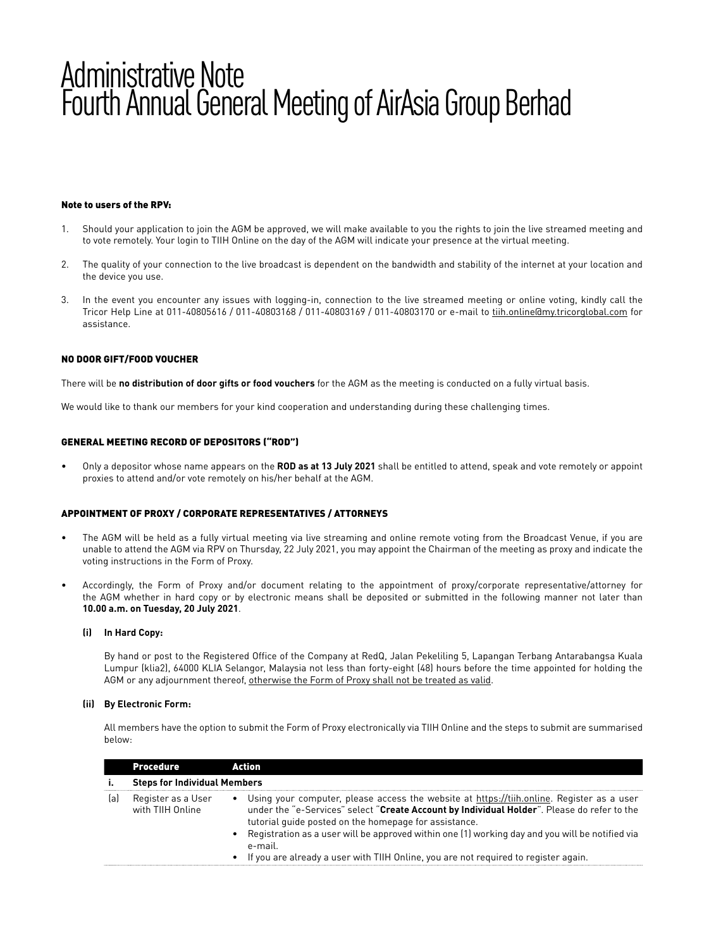# Note to users of the RPV:

- 1. Should your application to join the AGM be approved, we will make available to you the rights to join the live streamed meeting and to vote remotely. Your login to TIIH Online on the day of the AGM will indicate your presence at the virtual meeting.
- 2. The quality of your connection to the live broadcast is dependent on the bandwidth and stability of the internet at your location and the device you use.
- 3. In the event you encounter any issues with logging-in, connection to the live streamed meeting or online voting, kindly call the Tricor Help Line at 011-40805616 / 011-40803168 / 011-40803169 / 011-40803170 or e-mail to tiih.online@my.tricorglobal.com for assistance.

### NO DOOR GIFT/FOOD VOUCHER

There will be **no distribution of door gifts or food vouchers** for the AGM as the meeting is conducted on a fully virtual basis.

We would like to thank our members for your kind cooperation and understanding during these challenging times.

### GENERAL MEETING RECORD OF DEPOSITORS ("ROD")

• Only a depositor whose name appears on the **ROD as at 13 July 2021** shall be entitled to attend, speak and vote remotely or appoint proxies to attend and/or vote remotely on his/her behalf at the AGM.

### APPOINTMENT OF PROXY / CORPORATE REPRESENTATIVES / ATTORNEYS

- The AGM will be held as a fully virtual meeting via live streaming and online remote voting from the Broadcast Venue, if you are unable to attend the AGM via RPV on Thursday, 22 July 2021, you may appoint the Chairman of the meeting as proxy and indicate the voting instructions in the Form of Proxy.
- Accordingly, the Form of Proxy and/or document relating to the appointment of proxy/corporate representative/attorney for the AGM whether in hard copy or by electronic means shall be deposited or submitted in the following manner not later than **10.00 a.m. on Tuesday, 20 July 2021**.

### **(i) In Hard Copy:**

 By hand or post to the Registered Office of the Company at RedQ, Jalan Pekeliling 5, Lapangan Terbang Antarabangsa Kuala Lumpur (klia2), 64000 KLIA Selangor, Malaysia not less than forty-eight (48) hours before the time appointed for holding the AGM or any adjournment thereof, otherwise the Form of Proxy shall not be treated as valid.

### **(ii) By Electronic Form:**

 All members have the option to submit the Form of Proxy electronically via TIIH Online and the steps to submit are summarised below:

|     | <b>Procedure</b>                       | Action                                                                                                                                                                                                                                                                                                                                                                                                                                                       |
|-----|----------------------------------------|--------------------------------------------------------------------------------------------------------------------------------------------------------------------------------------------------------------------------------------------------------------------------------------------------------------------------------------------------------------------------------------------------------------------------------------------------------------|
|     | <b>Steps for Individual Members</b>    |                                                                                                                                                                                                                                                                                                                                                                                                                                                              |
| (a) | Register as a User<br>with TIIH Online | • Using your computer, please access the website at https://tiih.online. Register as a user<br>under the "e-Services" select "Create Account by Individual Holder". Please do refer to the<br>tutorial guide posted on the homepage for assistance.<br>• Registration as a user will be approved within one (1) working day and you will be notified via<br>e-mail.<br>• If you are already a user with TIIH Online, you are not required to register again. |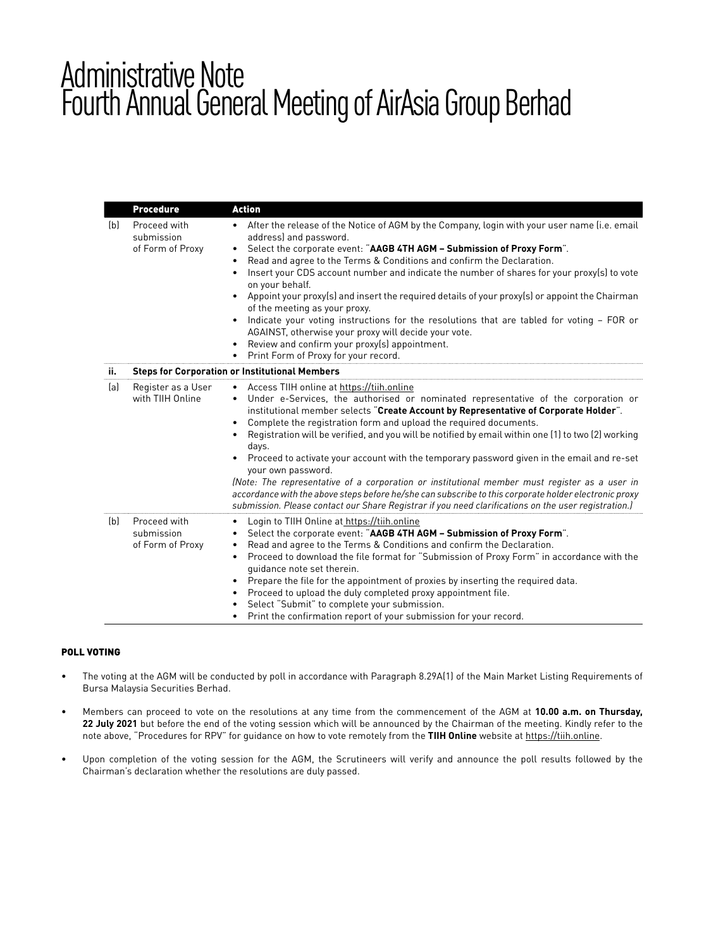|     | <b>Procedure</b>                               | <b>Action</b>                                                                                                                                                                                                                                                                                                                                                                                                                                                                                                                                                                                                                                                                                                                                                                                                                                                      |
|-----|------------------------------------------------|--------------------------------------------------------------------------------------------------------------------------------------------------------------------------------------------------------------------------------------------------------------------------------------------------------------------------------------------------------------------------------------------------------------------------------------------------------------------------------------------------------------------------------------------------------------------------------------------------------------------------------------------------------------------------------------------------------------------------------------------------------------------------------------------------------------------------------------------------------------------|
| (b) | Proceed with<br>submission<br>of Form of Proxy | • After the release of the Notice of AGM by the Company, login with your user name (i.e. email<br>address) and password.<br>Select the corporate event: "AAGB 4TH AGM - Submission of Proxy Form".<br>٠<br>Read and agree to the Terms & Conditions and confirm the Declaration.<br>Insert your CDS account number and indicate the number of shares for your proxy(s) to vote<br>on your behalf.<br>Appoint your proxy(s) and insert the required details of your proxy(s) or appoint the Chairman<br>$\bullet$<br>of the meeting as your proxy.<br>Indicate your voting instructions for the resolutions that are tabled for voting - FOR or<br>٠<br>AGAINST, otherwise your proxy will decide your vote.<br>Review and confirm your proxy(s) appointment.<br>Print Form of Proxy for your record.                                                               |
| ii. |                                                | <b>Steps for Corporation or Institutional Members</b>                                                                                                                                                                                                                                                                                                                                                                                                                                                                                                                                                                                                                                                                                                                                                                                                              |
| (a) | Register as a User<br>with TIIH Online         | • Access TIIH online at https://tiih.online<br>• Under e-Services, the authorised or nominated representative of the corporation or<br>institutional member selects "Create Account by Representative of Corporate Holder".<br>Complete the registration form and upload the required documents.<br>Registration will be verified, and you will be notified by email within one (1) to two (2) working<br>days.<br>Proceed to activate your account with the temporary password given in the email and re-set<br>$\bullet$<br>your own password.<br>(Note: The representative of a corporation or institutional member must register as a user in<br>accordance with the above steps before he/she can subscribe to this corporate holder electronic proxy<br>submission. Please contact our Share Registrar if you need clarifications on the user registration.) |
| (b) | Proceed with<br>submission<br>of Form of Proxy | Login to TIIH Online at https://tiih.online<br>$\bullet$<br>Select the corporate event: "AAGB 4TH AGM - Submission of Proxy Form".<br>٠<br>Read and agree to the Terms & Conditions and confirm the Declaration.<br>٠<br>Proceed to download the file format for "Submission of Proxy Form" in accordance with the<br>٠<br>quidance note set therein.<br>Prepare the file for the appointment of proxies by inserting the required data.<br>Proceed to upload the duly completed proxy appointment file.<br>٠<br>Select "Submit" to complete your submission.<br>• Print the confirmation report of your submission for your record.                                                                                                                                                                                                                               |

# POLL VOTING

- The voting at the AGM will be conducted by poll in accordance with Paragraph 8.29A(1) of the Main Market Listing Requirements of Bursa Malaysia Securities Berhad.
- Members can proceed to vote on the resolutions at any time from the commencement of the AGM at **10.00 a.m. on Thursday, 22 July 2021** but before the end of the voting session which will be announced by the Chairman of the meeting. Kindly refer to the note above, "Procedures for RPV" for guidance on how to vote remotely from the **TIIH Online** website at https://tiih.online.
- Upon completion of the voting session for the AGM, the Scrutineers will verify and announce the poll results followed by the Chairman's declaration whether the resolutions are duly passed.